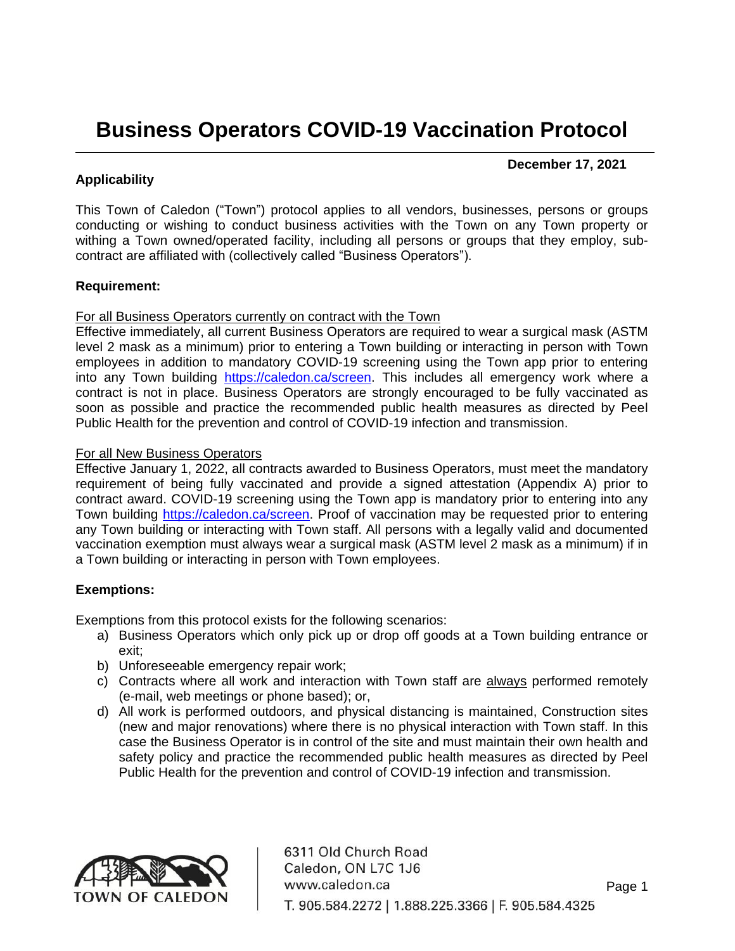## **Business Operators COVID-19 Vaccination Protocol**

#### **December 17, 2021**

#### **Applicability**

This Town of Caledon ("Town") protocol applies to all vendors, businesses, persons or groups conducting or wishing to conduct business activities with the Town on any Town property or withing a Town owned/operated facility, including all persons or groups that they employ, subcontract are affiliated with (collectively called "Business Operators").

#### **Requirement:**

#### For all Business Operators currently on contract with the Town

Effective immediately, all current Business Operators are required to wear a surgical mask (ASTM level 2 mask as a minimum) prior to entering a Town building or interacting in person with Town employees in addition to mandatory COVID-19 screening using the Town app prior to entering into any Town building [https://caledon.ca/screen.](https://caledon.ca/screen) This includes all emergency work where a contract is not in place. Business Operators are strongly encouraged to be fully vaccinated as soon as possible and practice the recommended public health measures as directed by Peel Public Health for the prevention and control of COVID-19 infection and transmission.

#### For all New Business Operators

Effective January 1, 2022, all contracts awarded to Business Operators, must meet the mandatory requirement of being fully vaccinated and provide a signed attestation (Appendix A) prior to contract award. COVID-19 screening using the Town app is mandatory prior to entering into any Town building [https://caledon.ca/screen.](https://caledon.ca/screen) Proof of vaccination may be requested prior to entering any Town building or interacting with Town staff. All persons with a legally valid and documented vaccination exemption must always wear a surgical mask (ASTM level 2 mask as a minimum) if in a Town building or interacting in person with Town employees.

#### **Exemptions:**

Exemptions from this protocol exists for the following scenarios:

- a) Business Operators which only pick up or drop off goods at a Town building entrance or exit;
- b) Unforeseeable emergency repair work;
- c) Contracts where all work and interaction with Town staff are always performed remotely (e-mail, web meetings or phone based); or,
- d) All work is performed outdoors, and physical distancing is maintained, Construction sites (new and major renovations) where there is no physical interaction with Town staff. In this case the Business Operator is in control of the site and must maintain their own health and safety policy and practice the recommended public health measures as directed by Peel Public Health for the prevention and control of COVID-19 infection and transmission.



6311 Old Church Road Caledon, ON L7C 1J6 www.caledon.ca T. 905.584.2272 I 1.888.225.3366 I F. 905.584.4325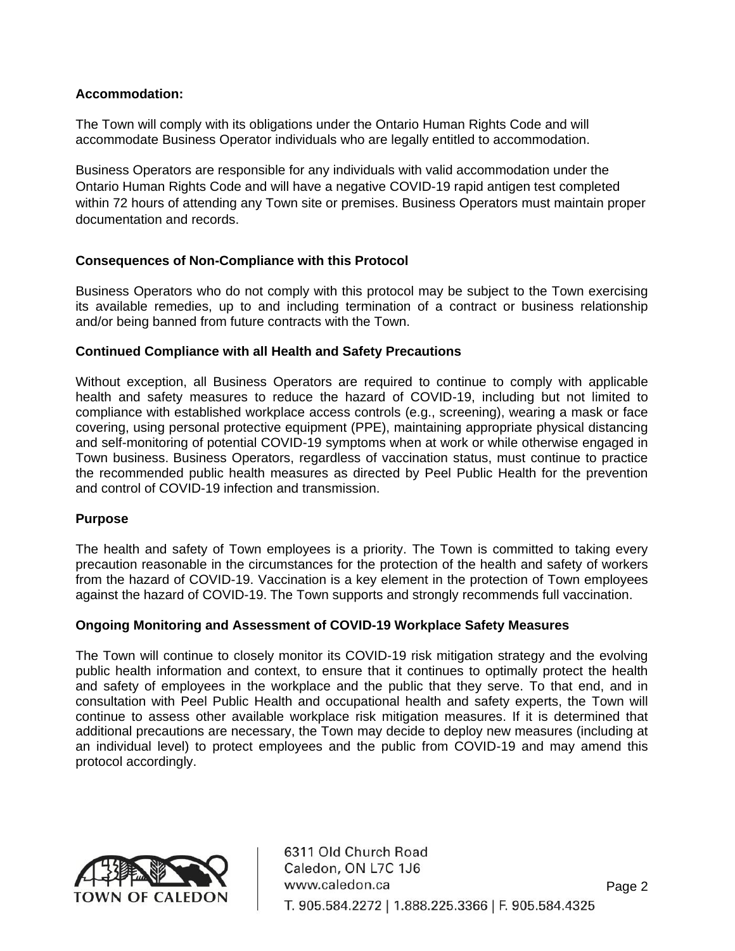#### **Accommodation:**

The Town will comply with its obligations under the Ontario Human Rights Code and will accommodate Business Operator individuals who are legally entitled to accommodation.

Business Operators are responsible for any individuals with valid accommodation under the Ontario Human Rights Code and will have a negative COVID-19 rapid antigen test completed within 72 hours of attending any Town site or premises. Business Operators must maintain proper documentation and records.

#### **Consequences of Non-Compliance with this Protocol**

Business Operators who do not comply with this protocol may be subject to the Town exercising its available remedies, up to and including termination of a contract or business relationship and/or being banned from future contracts with the Town.

#### **Continued Compliance with all Health and Safety Precautions**

Without exception, all Business Operators are required to continue to comply with applicable health and safety measures to reduce the hazard of COVID-19, including but not limited to compliance with established workplace access controls (e.g., screening), wearing a mask or face covering, using personal protective equipment (PPE), maintaining appropriate physical distancing and self-monitoring of potential COVID-19 symptoms when at work or while otherwise engaged in Town business. Business Operators, regardless of vaccination status, must continue to practice the recommended public health measures as directed by Peel Public Health for the prevention and control of COVID-19 infection and transmission.

#### **Purpose**

The health and safety of Town employees is a priority. The Town is committed to taking every precaution reasonable in the circumstances for the protection of the health and safety of workers from the hazard of COVID-19. Vaccination is a key element in the protection of Town employees against the hazard of COVID-19. The Town supports and strongly recommends full vaccination.

#### **Ongoing Monitoring and Assessment of COVID-19 Workplace Safety Measures**

The Town will continue to closely monitor its COVID-19 risk mitigation strategy and the evolving public health information and context, to ensure that it continues to optimally protect the health and safety of employees in the workplace and the public that they serve. To that end, and in consultation with Peel Public Health and occupational health and safety experts, the Town will continue to assess other available workplace risk mitigation measures. If it is determined that additional precautions are necessary, the Town may decide to deploy new measures (including at an individual level) to protect employees and the public from COVID-19 and may amend this protocol accordingly.



6311 Old Church Road Caledon, ON L7C 1J6 www.caledon.ca T. 905.584.2272 I 1.888.225.3366 I F. 905.584.4325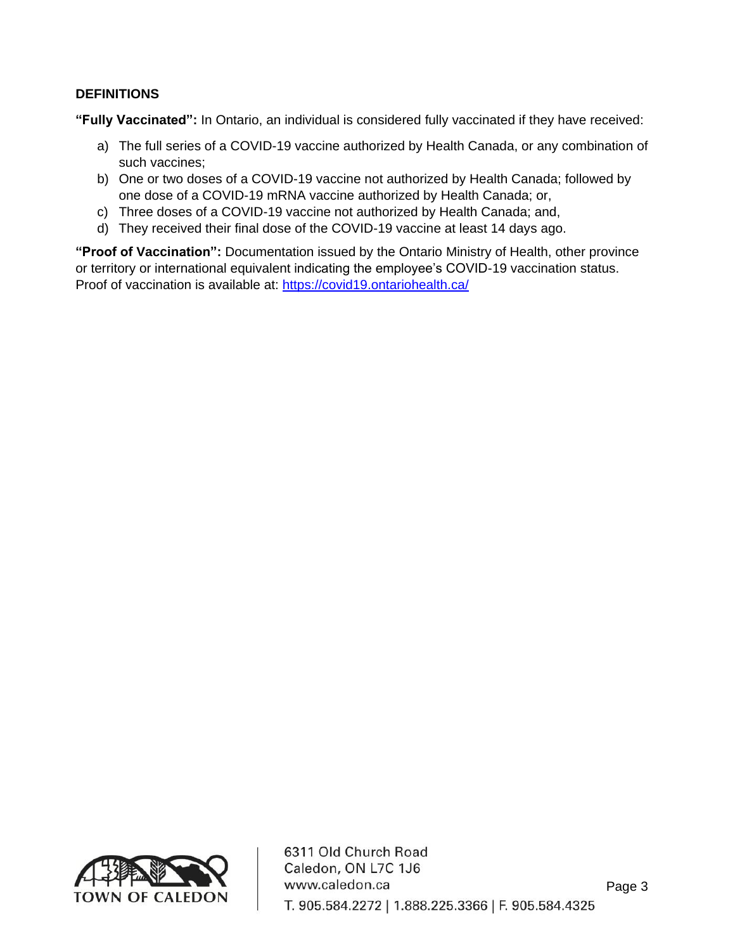#### **DEFINITIONS**

**"Fully Vaccinated":** In Ontario, an individual is considered fully vaccinated if they have received:

- a) The full series of a COVID-19 vaccine authorized by Health Canada, or any combination of such vaccines;
- b) One or two doses of a COVID-19 vaccine not authorized by Health Canada; followed by one dose of a COVID-19 mRNA vaccine authorized by Health Canada; or,
- c) Three doses of a COVID-19 vaccine not authorized by Health Canada; and,
- d) They received their final dose of the COVID-19 vaccine at least 14 days ago.

**"Proof of Vaccination":** Documentation issued by the Ontario Ministry of Health, other province or territory or international equivalent indicating the employee's COVID-19 vaccination status. Proof of vaccination is available at:<https://covid19.ontariohealth.ca/>